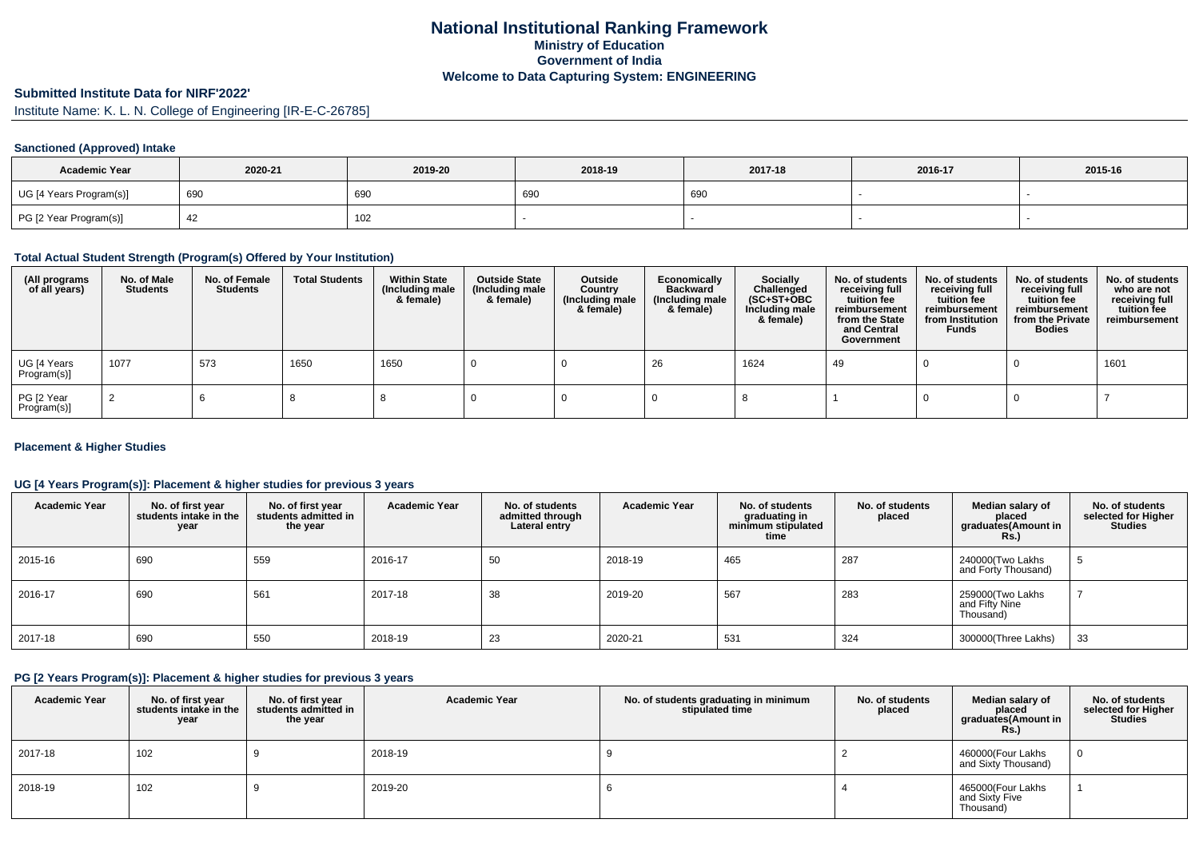# **National Institutional Ranking FrameworkMinistry of Education Government of IndiaWelcome to Data Capturing System: ENGINEERING**

# **Submitted Institute Data for NIRF'2022'**

Institute Name: K. L. N. College of Engineering [IR-E-C-26785]

### **Sanctioned (Approved) Intake**

| <b>Academic Year</b>    | 2020-21 | 2019-20 | 2018-19 | 2017-18 | 2016-17 | 2015-16 |
|-------------------------|---------|---------|---------|---------|---------|---------|
| UG [4 Years Program(s)] | 690     | 690     | 690     | 690     |         |         |
| PG [2 Year Program(s)]  |         | 102     |         |         |         |         |

### **Total Actual Student Strength (Program(s) Offered by Your Institution)**

| (All programs<br>of all years) | No. of Male<br><b>Students</b> | No. of Female<br><b>Students</b> | <b>Total Students</b> | <b>Within State</b><br>(Including male<br>& female) | <b>Outside State</b><br>(Including male<br>& female) | Outside<br>Country<br>(Including male<br>& female) | Economically<br><b>Backward</b><br>(Including male<br>& female) | <b>Socially</b><br>Challenged<br>$(SC+ST+OBC)$<br>Including male<br>& female) | No. of students<br>receiving full<br>tuition fee<br>reimbursement<br>from the State<br>and Central<br>Government | No. of students<br>receiving full<br>tuition fee<br>reimbursement<br>from Institution<br><b>Funds</b> | No. of students<br>receiving full<br>tuition fee<br>reimbursement<br>from the Private<br><b>Bodies</b> | No. of students<br>who are not<br>receiving full<br>tuition fee<br>reimbursement |
|--------------------------------|--------------------------------|----------------------------------|-----------------------|-----------------------------------------------------|------------------------------------------------------|----------------------------------------------------|-----------------------------------------------------------------|-------------------------------------------------------------------------------|------------------------------------------------------------------------------------------------------------------|-------------------------------------------------------------------------------------------------------|--------------------------------------------------------------------------------------------------------|----------------------------------------------------------------------------------|
| UG [4 Years<br>Program(s)]     | 1077                           | 573                              | 1650                  | 1650                                                |                                                      |                                                    | 26                                                              | 1624                                                                          | 49                                                                                                               |                                                                                                       |                                                                                                        | 1601                                                                             |
| PG [2 Year<br>Program(s)]      |                                |                                  |                       |                                                     |                                                      |                                                    |                                                                 |                                                                               |                                                                                                                  |                                                                                                       |                                                                                                        |                                                                                  |

### **Placement & Higher Studies**

### **UG [4 Years Program(s)]: Placement & higher studies for previous 3 years**

| <b>Academic Year</b> | No. of first year<br>students intake in the<br>year | No. of first vear<br>students admitted in<br>the year | <b>Academic Year</b> | No. of students<br>admitted through<br>Lateral entry | <b>Academic Year</b> | No. of students<br>graduating in<br>minimum stipulated<br>time | No. of students<br>placed | Median salary of<br>placed<br>graduates(Amount in<br>Rs.) | No. of students<br>selected for Higher<br><b>Studies</b> |
|----------------------|-----------------------------------------------------|-------------------------------------------------------|----------------------|------------------------------------------------------|----------------------|----------------------------------------------------------------|---------------------------|-----------------------------------------------------------|----------------------------------------------------------|
| 2015-16              | 690                                                 | 559                                                   | 2016-17              | 50                                                   | 2018-19              | 465                                                            | 287                       | 240000(Two Lakhs<br>and Forty Thousand)                   |                                                          |
| 2016-17              | 690                                                 | 561                                                   | 2017-18              | 38                                                   | 2019-20              | 567                                                            | 283                       | 259000 Two Lakhs<br>and Fifty Nine<br>Thousand)           |                                                          |
| 2017-18              | 690                                                 | 550                                                   | 2018-19              | 23                                                   | 2020-21              | 531                                                            | 324                       | 300000(Three Lakhs)                                       | 33                                                       |

### **PG [2 Years Program(s)]: Placement & higher studies for previous 3 years**

| <b>Academic Year</b> | No. of first year<br>students intake in the<br>year | No. of first vear<br>students admitted in<br>the year | <b>Academic Year</b> | No. of students graduating in minimum<br>stipulated time | No. of students<br>placed | Median salary of<br>placed<br>graduates(Amount in<br>Rs.) | No. of students<br>selected for Higher<br><b>Studies</b> |
|----------------------|-----------------------------------------------------|-------------------------------------------------------|----------------------|----------------------------------------------------------|---------------------------|-----------------------------------------------------------|----------------------------------------------------------|
| 2017-18              | 102                                                 |                                                       | 2018-19              |                                                          |                           | 460000(Four Lakhs<br>and Sixty Thousand)                  | 0                                                        |
| 2018-19              | 102                                                 |                                                       | 2019-20              |                                                          |                           | 465000(Four Lakhs<br>and Sixty Five<br>Thousand)          |                                                          |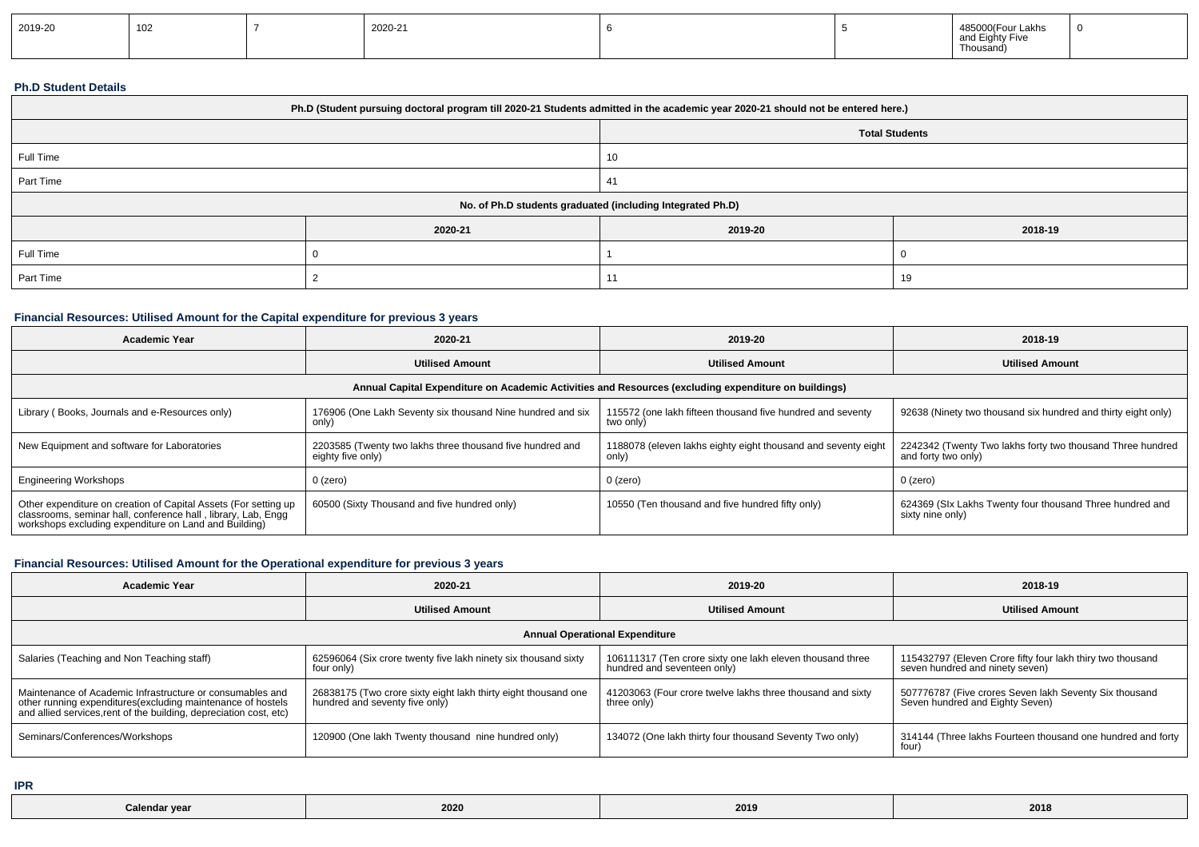| 2019-20 | 102 |  | 2020-21 |  |  | 1022<br>and Elarr<br>LIA<br>Thousand) |  |
|---------|-----|--|---------|--|--|---------------------------------------|--|
|---------|-----|--|---------|--|--|---------------------------------------|--|

#### **Ph.D Student Details**

| Ph.D (Student pursuing doctoral program till 2020-21 Students admitted in the academic year 2020-21 should not be entered here.) |         |                                                            |         |  |  |  |
|----------------------------------------------------------------------------------------------------------------------------------|---------|------------------------------------------------------------|---------|--|--|--|
| <b>Total Students</b>                                                                                                            |         |                                                            |         |  |  |  |
| Full Time                                                                                                                        |         | 10                                                         |         |  |  |  |
| Part Time                                                                                                                        |         | 41                                                         |         |  |  |  |
|                                                                                                                                  |         | No. of Ph.D students graduated (including Integrated Ph.D) |         |  |  |  |
|                                                                                                                                  | 2020-21 | 2019-20                                                    | 2018-19 |  |  |  |
| Full Time                                                                                                                        |         |                                                            |         |  |  |  |
| Part Time<br>19                                                                                                                  |         |                                                            |         |  |  |  |

### **Financial Resources: Utilised Amount for the Capital expenditure for previous 3 years**

| <b>Academic Year</b>                                                                                                                                                                      | 2020-21                                                                        | 2019-20                                                                 | 2018-19                                                                           |  |  |  |  |
|-------------------------------------------------------------------------------------------------------------------------------------------------------------------------------------------|--------------------------------------------------------------------------------|-------------------------------------------------------------------------|-----------------------------------------------------------------------------------|--|--|--|--|
|                                                                                                                                                                                           | <b>Utilised Amount</b>                                                         | <b>Utilised Amount</b>                                                  | <b>Utilised Amount</b>                                                            |  |  |  |  |
| Annual Capital Expenditure on Academic Activities and Resources (excluding expenditure on buildings)                                                                                      |                                                                                |                                                                         |                                                                                   |  |  |  |  |
| Library (Books, Journals and e-Resources only)                                                                                                                                            | 176906 (One Lakh Seventy six thousand Nine hundred and six<br>only)            | 115572 (one lakh fifteen thousand five hundred and seventy<br>two only) | 92638 (Ninety two thousand six hundred and thirty eight only)                     |  |  |  |  |
| New Equipment and software for Laboratories                                                                                                                                               | 2203585 (Twenty two lakhs three thousand five hundred and<br>eighty five only) | 1188078 (eleven lakhs eighty eight thousand and seventy eight<br>only)  | 2242342 (Twenty Two lakhs forty two thousand Three hundred<br>and forty two only) |  |  |  |  |
| <b>Engineering Workshops</b>                                                                                                                                                              | $0$ (zero)                                                                     | 0 (zero)                                                                | $0$ (zero)                                                                        |  |  |  |  |
| Other expenditure on creation of Capital Assets (For setting up<br>classrooms, seminar hall, conference hall, library, Lab, Engg<br>workshops excluding expenditure on Land and Building) | 60500 (Sixty Thousand and five hundred only)                                   | 10550 (Ten thousand and five hundred fifty only)                        | 624369 (SIx Lakhs Twenty four thousand Three hundred and<br>sixty nine only)      |  |  |  |  |

### **Financial Resources: Utilised Amount for the Operational expenditure for previous 3 years**

| Academic Year                                                                                                                                                                                   | 2020-21                                                                                          | 2019-20                                                                                  | 2018-19                                                                                       |  |  |  |  |
|-------------------------------------------------------------------------------------------------------------------------------------------------------------------------------------------------|--------------------------------------------------------------------------------------------------|------------------------------------------------------------------------------------------|-----------------------------------------------------------------------------------------------|--|--|--|--|
|                                                                                                                                                                                                 | <b>Utilised Amount</b>                                                                           | <b>Utilised Amount</b>                                                                   | <b>Utilised Amount</b>                                                                        |  |  |  |  |
| <b>Annual Operational Expenditure</b>                                                                                                                                                           |                                                                                                  |                                                                                          |                                                                                               |  |  |  |  |
| Salaries (Teaching and Non Teaching staff)                                                                                                                                                      | 62596064 (Six crore twenty five lakh ninety six thousand sixty<br>four only)                     | 106111317 (Ten crore sixty one lakh eleven thousand three<br>hundred and seventeen only) | 115432797 (Eleven Crore fifty four lakh thiry two thousand<br>seven hundred and ninety seven) |  |  |  |  |
| Maintenance of Academic Infrastructure or consumables and<br>other running expenditures (excluding maintenance of hostels<br>and allied services, rent of the building, depreciation cost, etc) | 26838175 (Two crore sixty eight lakh thirty eight thousand one<br>hundred and seventy five only) | 41203063 (Four crore twelve lakhs three thousand and sixty<br>three only)                | 507776787 (Five crores Seven lakh Seventy Six thousand<br>Seven hundred and Eighty Seven)     |  |  |  |  |
| Seminars/Conferences/Workshops                                                                                                                                                                  | 120900 (One lakh Twenty thousand nine hundred only)                                              | 134072 (One lakh thirty four thousand Seventy Two only)                                  | 314144 (Three lakhs Fourteen thousand one hundred and forty<br>four)                          |  |  |  |  |

**IPR**

| Calendar year | 2020 | 2019 | 2018 |
|---------------|------|------|------|
|---------------|------|------|------|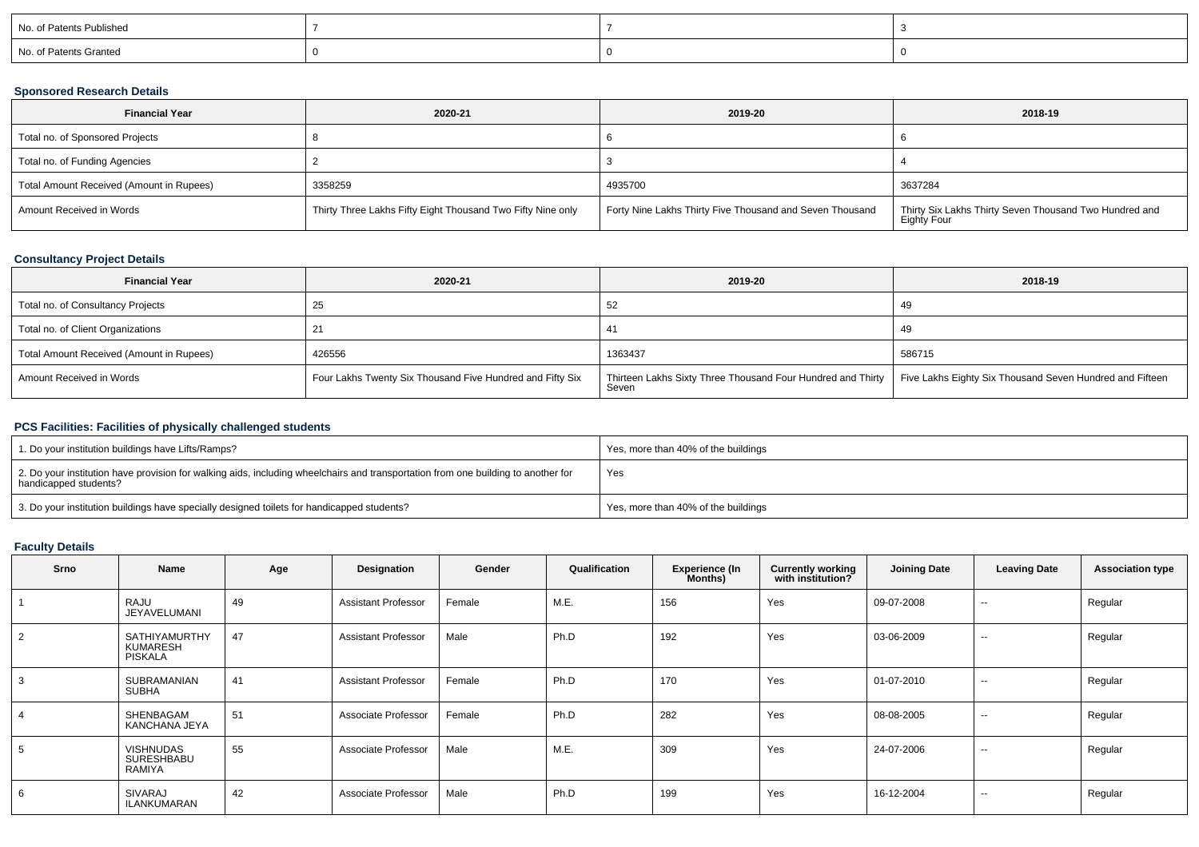| No. of Patents Published |  |  |
|--------------------------|--|--|
| No. of Patents Granted   |  |  |

### **Sponsored Research Details**

| <b>Financial Year</b>                    | 2020-21                                                     | 2019-20                                                  | 2018-19                                                               |
|------------------------------------------|-------------------------------------------------------------|----------------------------------------------------------|-----------------------------------------------------------------------|
| Total no. of Sponsored Projects          |                                                             |                                                          |                                                                       |
| Total no. of Funding Agencies            |                                                             |                                                          |                                                                       |
| Total Amount Received (Amount in Rupees) | 3358259                                                     | 4935700                                                  | 3637284                                                               |
| Amount Received in Words                 | Thirty Three Lakhs Fifty Eight Thousand Two Fifty Nine only | Forty Nine Lakhs Thirty Five Thousand and Seven Thousand | Thirty Six Lakhs Thirty Seven Thousand Two Hundred and<br>Eighty Four |

### **Consultancy Project Details**

| <b>Financial Year</b>                    | 2020-21                                                   | 2019-20                                                                                                                         | 2018-19 |
|------------------------------------------|-----------------------------------------------------------|---------------------------------------------------------------------------------------------------------------------------------|---------|
| Total no. of Consultancy Projects        | ∠ວ                                                        |                                                                                                                                 | -49     |
| Total no. of Client Organizations        |                                                           | 41                                                                                                                              | -49     |
| Total Amount Received (Amount in Rupees) | 426556                                                    | 1363437                                                                                                                         | 586715  |
| Amount Received in Words                 | Four Lakhs Twenty Six Thousand Five Hundred and Fifty Six | Thirteen Lakhs Sixty Three Thousand Four Hundred and Thirty   Five Lakhs Eighty Six Thousand Seven Hundred and Fifteen<br>Seven |         |

### **PCS Facilities: Facilities of physically challenged students**

| 1. Do your institution buildings have Lifts/Ramps?                                                                                                         | Yes, more than 40% of the buildings |
|------------------------------------------------------------------------------------------------------------------------------------------------------------|-------------------------------------|
| 2. Do your institution have provision for walking aids, including wheelchairs and transportation from one building to another for<br>handicapped students? | Yes                                 |
| 3. Do your institution buildings have specially designed toilets for handicapped students?                                                                 | Yes, more than 40% of the buildings |

# **Faculty Details**

| Srno | Name                                               | Age | Designation                | Gender | Qualification | <b>Experience (In</b><br>Months) | <b>Currently working</b><br>with institution? | <b>Joining Date</b> | <b>Leaving Date</b>      | <b>Association type</b> |
|------|----------------------------------------------------|-----|----------------------------|--------|---------------|----------------------------------|-----------------------------------------------|---------------------|--------------------------|-------------------------|
|      | RAJU<br>JEYAVELUMANI                               | 49  | <b>Assistant Professor</b> | Female | M.E.          | 156                              | Yes                                           | 09-07-2008          | $\overline{\phantom{a}}$ | Regular                 |
| 2    | <b>SATHIYAMURTHY</b><br>KUMARESH<br><b>PISKALA</b> | 47  | <b>Assistant Professor</b> | Male   | Ph.D          | 192                              | Yes                                           | 03-06-2009          | $- -$                    | Regular                 |
| 3    | <b>SUBRAMANIAN</b><br><b>SUBHA</b>                 | 41  | <b>Assistant Professor</b> | Female | Ph.D          | 170                              | Yes                                           | 01-07-2010          | $\overline{\phantom{a}}$ | Regular                 |
|      | SHENBAGAM<br>KANCHANA JEYA                         | 51  | Associate Professor        | Female | Ph.D          | 282                              | Yes                                           | 08-08-2005          | $\sim$                   | Regular                 |
| 5    | <b>VISHNUDAS</b><br><b>SURESHBABU</b><br>RAMIYA    | 55  | Associate Professor        | Male   | M.E.          | 309                              | Yes                                           | 24-07-2006          | $\overline{\phantom{a}}$ | Regular                 |
| 6    | SIVARAJ<br>ILANKUMARAN                             | 42  | Associate Professor        | Male   | Ph.D          | 199                              | Yes                                           | 16-12-2004          | $\overline{\phantom{a}}$ | Regular                 |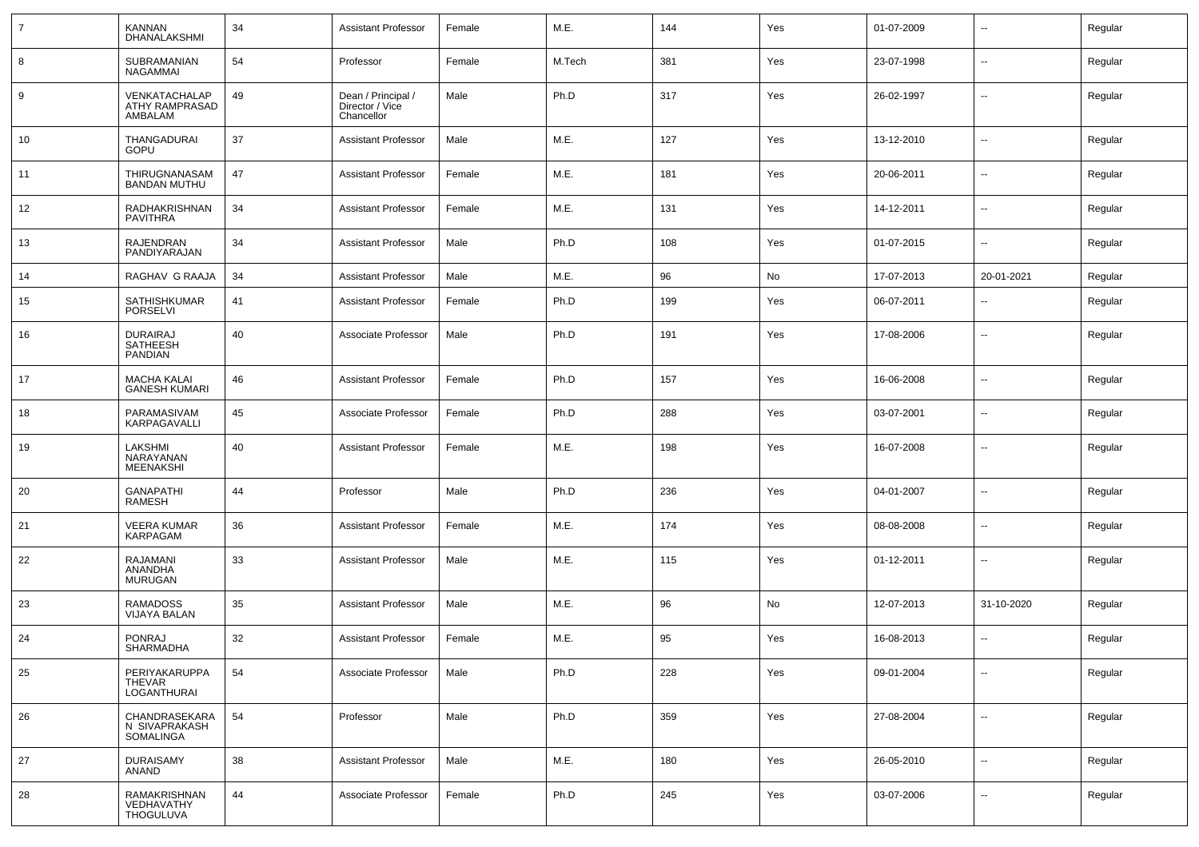|    | <b>KANNAN</b><br>DHANALAKSHMI                        | 34 | <b>Assistant Professor</b>                          | Female | M.E.   | 144 | Yes | 01-07-2009 | $\sim$                   | Regular |
|----|------------------------------------------------------|----|-----------------------------------------------------|--------|--------|-----|-----|------------|--------------------------|---------|
| 8  | SUBRAMANIAN<br>NAGAMMAI                              | 54 | Professor                                           | Female | M.Tech | 381 | Yes | 23-07-1998 | $\overline{\phantom{a}}$ | Regular |
| 9  | VENKATACHALAP<br><b>ATHY RAMPRASAD</b><br>AMBALAM    | 49 | Dean / Principal /<br>Director / Vice<br>Chancellor | Male   | Ph.D   | 317 | Yes | 26-02-1997 | $\overline{\phantom{a}}$ | Regular |
| 10 | <b>THANGADURAI</b><br>GOPU                           | 37 | <b>Assistant Professor</b>                          | Male   | M.E.   | 127 | Yes | 13-12-2010 | $\overline{\phantom{a}}$ | Regular |
| 11 | THIRUGNANASAM<br><b>BANDAN MUTHU</b>                 | 47 | <b>Assistant Professor</b>                          | Female | M.E.   | 181 | Yes | 20-06-2011 | $\sim$                   | Regular |
| 12 | RADHAKRISHNAN<br><b>PAVITHRA</b>                     | 34 | <b>Assistant Professor</b>                          | Female | M.E.   | 131 | Yes | 14-12-2011 | $\sim$                   | Regular |
| 13 | <b>RAJENDRAN</b><br>PANDIYARAJAN                     | 34 | <b>Assistant Professor</b>                          | Male   | Ph.D   | 108 | Yes | 01-07-2015 | $\sim$                   | Regular |
| 14 | RAGHAV G RAAJA                                       | 34 | <b>Assistant Professor</b>                          | Male   | M.E.   | 96  | No  | 17-07-2013 | 20-01-2021               | Regular |
| 15 | SATHISHKUMAR<br><b>PORSELVI</b>                      | 41 | Assistant Professor                                 | Female | Ph.D   | 199 | Yes | 06-07-2011 | $\sim$                   | Regular |
| 16 | <b>DURAIRAJ</b><br><b>SATHEESH</b><br><b>PANDIAN</b> | 40 | Associate Professor                                 | Male   | Ph.D   | 191 | Yes | 17-08-2006 | $\overline{\phantom{a}}$ | Regular |
| 17 | <b>MACHA KALAI</b><br><b>GANESH KUMARI</b>           | 46 | Assistant Professor                                 | Female | Ph.D   | 157 | Yes | 16-06-2008 | $\sim$                   | Regular |
| 18 | PARAMASIVAM<br>KARPAGAVALLI                          | 45 | Associate Professor                                 | Female | Ph.D   | 288 | Yes | 03-07-2001 | $\sim$                   | Regular |
| 19 | LAKSHMI<br>NARAYANAN<br><b>MEENAKSHI</b>             | 40 | <b>Assistant Professor</b>                          | Female | M.E.   | 198 | Yes | 16-07-2008 | $\sim$                   | Regular |
| 20 | <b>GANAPATHI</b><br><b>RAMESH</b>                    | 44 | Professor                                           | Male   | Ph.D   | 236 | Yes | 04-01-2007 | $\sim$                   | Regular |
| 21 | <b>VEERA KUMAR</b><br><b>KARPAGAM</b>                | 36 | <b>Assistant Professor</b>                          | Female | M.E.   | 174 | Yes | 08-08-2008 | $\sim$                   | Regular |
| 22 | RAJAMANI<br>ANANDHA<br><b>MURUGAN</b>                | 33 | <b>Assistant Professor</b>                          | Male   | M.E.   | 115 | Yes | 01-12-2011 | $\sim$                   | Regular |
| 23 | <b>RAMADOSS</b><br><b>VIJAYA BALAN</b>               | 35 | <b>Assistant Professor</b>                          | Male   | M.E.   | 96  | No  | 12-07-2013 | 31-10-2020               | Regular |
| 24 | <b>PONRAJ</b><br><b>SHARMADHA</b>                    | 32 | <b>Assistant Professor</b>                          | Female | M.E.   | 95  | Yes | 16-08-2013 | $\overline{\phantom{a}}$ | Regular |
| 25 | PERIYAKARUPPA<br><b>THEVAR</b><br>LOGANTHURAI        | 54 | Associate Professor                                 | Male   | Ph.D   | 228 | Yes | 09-01-2004 | $\overline{\phantom{a}}$ | Regular |
| 26 | CHANDRASEKARA<br>N SIVAPRAKASH<br>SOMALINGA          | 54 | Professor                                           | Male   | Ph.D   | 359 | Yes | 27-08-2004 | $\overline{\phantom{a}}$ | Regular |
| 27 | <b>DURAISAMY</b><br><b>ANAND</b>                     | 38 | <b>Assistant Professor</b>                          | Male   | M.E.   | 180 | Yes | 26-05-2010 | $\overline{\phantom{a}}$ | Regular |
| 28 | RAMAKRISHNAN<br>VEDHAVATHY<br><b>THOGULUVA</b>       | 44 | Associate Professor                                 | Female | Ph.D   | 245 | Yes | 03-07-2006 | $\overline{\phantom{a}}$ | Regular |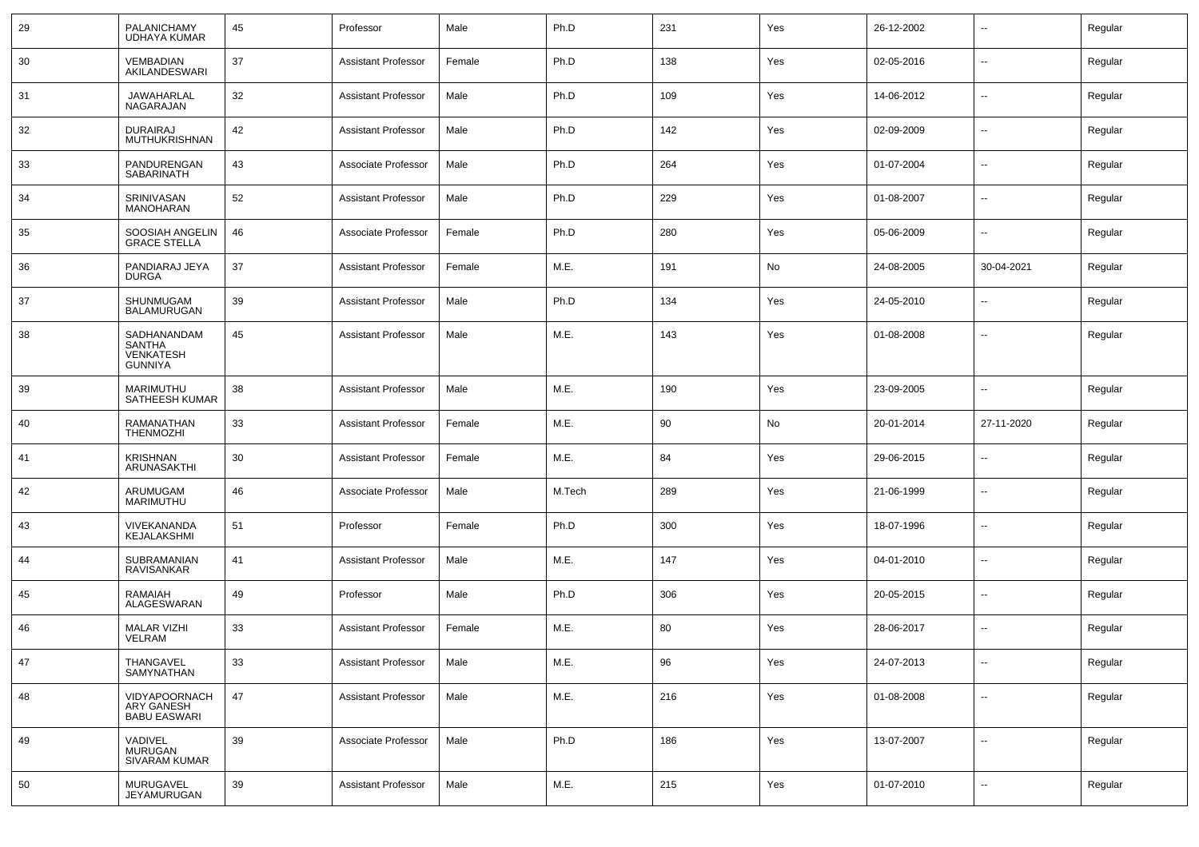| 29 | PALANICHAMY<br><b>UDHAYA KUMAR</b>                          | 45 | Professor                  | Male   | Ph.D   | 231 | Yes | 26-12-2002 | $\overline{\phantom{a}}$ | Regular |
|----|-------------------------------------------------------------|----|----------------------------|--------|--------|-----|-----|------------|--------------------------|---------|
| 30 | <b>VEMBADIAN</b><br>AKILANDESWARI                           | 37 | <b>Assistant Professor</b> | Female | Ph.D   | 138 | Yes | 02-05-2016 | $\sim$                   | Regular |
| 31 | JAWAHARLAL<br>NAGARAJAN                                     | 32 | <b>Assistant Professor</b> | Male   | Ph.D   | 109 | Yes | 14-06-2012 | $\sim$                   | Regular |
| 32 | <b>DURAIRAJ</b><br><b>MUTHUKRISHNAN</b>                     | 42 | <b>Assistant Professor</b> | Male   | Ph.D   | 142 | Yes | 02-09-2009 | $\sim$                   | Regular |
| 33 | PANDURENGAN<br>SABARINATH                                   | 43 | Associate Professor        | Male   | Ph.D   | 264 | Yes | 01-07-2004 | $\sim$                   | Regular |
| 34 | SRINIVASAN<br><b>MANOHARAN</b>                              | 52 | <b>Assistant Professor</b> | Male   | Ph.D   | 229 | Yes | 01-08-2007 | $\sim$                   | Regular |
| 35 | SOOSIAH ANGELIN<br>GRACE STELLA                             | 46 | Associate Professor        | Female | Ph.D   | 280 | Yes | 05-06-2009 | $\sim$                   | Regular |
| 36 | PANDIARAJ JEYA<br><b>DURGA</b>                              | 37 | <b>Assistant Professor</b> | Female | M.E.   | 191 | No  | 24-08-2005 | 30-04-2021               | Regular |
| 37 | SHUNMUGAM<br><b>BALAMURUGAN</b>                             | 39 | <b>Assistant Professor</b> | Male   | Ph.D   | 134 | Yes | 24-05-2010 | $\overline{\phantom{a}}$ | Regular |
| 38 | SADHANANDAM<br>SANTHA<br><b>VENKATESH</b><br><b>GUNNIYA</b> | 45 | <b>Assistant Professor</b> | Male   | M.E.   | 143 | Yes | 01-08-2008 | $\overline{\phantom{a}}$ | Regular |
| 39 | MARIMUTHU<br>SATHEESH KUMAR                                 | 38 | <b>Assistant Professor</b> | Male   | M.E.   | 190 | Yes | 23-09-2005 | --                       | Regular |
| 40 | RAMANATHAN<br><b>THENMOZHI</b>                              | 33 | <b>Assistant Professor</b> | Female | M.E.   | 90  | No  | 20-01-2014 | 27-11-2020               | Regular |
| 41 | <b>KRISHNAN</b><br>ARUNASAKTHI                              | 30 | <b>Assistant Professor</b> | Female | M.E.   | 84  | Yes | 29-06-2015 | $\overline{\phantom{a}}$ | Regular |
| 42 | ARUMUGAM<br>MARIMUTHU                                       | 46 | Associate Professor        | Male   | M.Tech | 289 | Yes | 21-06-1999 | --                       | Regular |
| 43 | VIVEKANANDA<br>KEJALAKSHMI                                  | 51 | Professor                  | Female | Ph.D   | 300 | Yes | 18-07-1996 | --                       | Regular |
| 44 | SUBRAMANIAN<br>RAVISANKAR                                   | 41 | <b>Assistant Professor</b> | Male   | M.E.   | 147 | Yes | 04-01-2010 | --                       | Regular |
| 45 | <b>RAMAIAH</b><br>ALAGESWARAN                               | 49 | Professor                  | Male   | Ph.D   | 306 | Yes | 20-05-2015 | --                       | Regular |
| 46 | <b>MALAR VIZHI</b><br>VELRAM                                | 33 | <b>Assistant Professor</b> | Female | M.E.   | 80  | Yes | 28-06-2017 | --                       | Regular |
| 47 | THANGAVEL<br>SAMYNATHAN                                     | 33 | <b>Assistant Professor</b> | Male   | M.E.   | 96  | Yes | 24-07-2013 | $\sim$                   | Regular |
| 48 | VIDYAPOORNACH<br>ARY GANESH<br>BABU EASWARI                 | 47 | <b>Assistant Professor</b> | Male   | M.E.   | 216 | Yes | 01-08-2008 | $\mathbf{u}$             | Regular |
| 49 | VADIVEL<br><b>MURUGAN</b><br>SIVARAM KUMAR                  | 39 | Associate Professor        | Male   | Ph.D   | 186 | Yes | 13-07-2007 | $\overline{\phantom{a}}$ | Regular |
| 50 | MURUGAVEL<br><b>JEYAMURUGAN</b>                             | 39 | <b>Assistant Professor</b> | Male   | M.E.   | 215 | Yes | 01-07-2010 | $\sim$                   | Regular |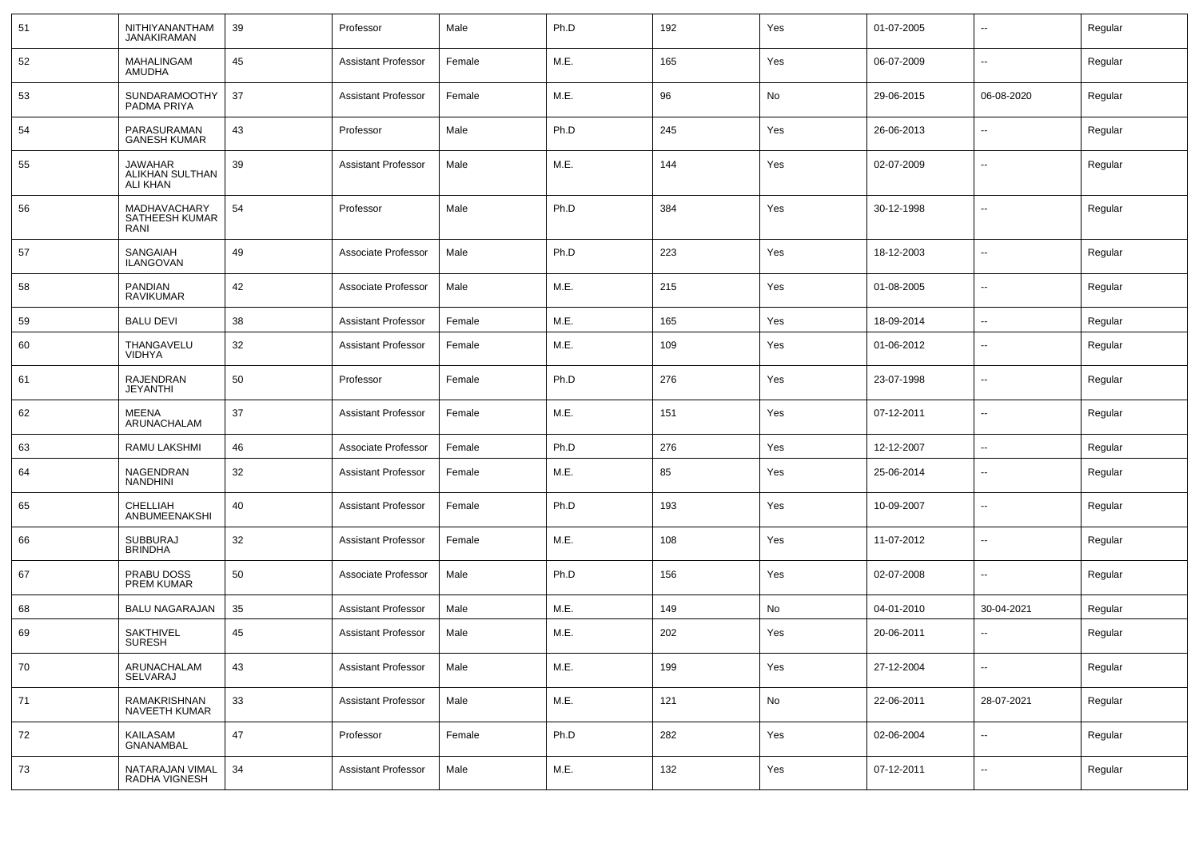| 51   | NITHIYANANTHAM<br><b>JANAKIRAMAN</b>                 | 39 | Professor                  | Male   | Ph.D | 192 | Yes | 01-07-2005 | $\overline{\phantom{a}}$ | Regular |
|------|------------------------------------------------------|----|----------------------------|--------|------|-----|-----|------------|--------------------------|---------|
| 52   | MAHALINGAM<br>AMUDHA                                 | 45 | <b>Assistant Professor</b> | Female | M.E. | 165 | Yes | 06-07-2009 | $\overline{\phantom{a}}$ | Regular |
| 53   | SUNDARAMOOTHY<br>PADMA PRIYA                         | 37 | <b>Assistant Professor</b> | Female | M.E. | 96  | No  | 29-06-2015 | 06-08-2020               | Regular |
| 54   | PARASURAMAN<br><b>GANESH KUMAR</b>                   | 43 | Professor                  | Male   | Ph.D | 245 | Yes | 26-06-2013 | $\overline{\phantom{a}}$ | Regular |
| 55   | <b>JAWAHAR</b><br>ALIKHAN SULTHAN<br><b>ALI KHAN</b> | 39 | <b>Assistant Professor</b> | Male   | M.E. | 144 | Yes | 02-07-2009 | н.                       | Regular |
| 56   | MADHAVACHARY<br>SATHEESH KUMAR<br>RANI               | 54 | Professor                  | Male   | Ph.D | 384 | Yes | 30-12-1998 | $\overline{a}$           | Regular |
| 57   | SANGAIAH<br><b>ILANGOVAN</b>                         | 49 | Associate Professor        | Male   | Ph.D | 223 | Yes | 18-12-2003 | $\overline{\phantom{a}}$ | Regular |
| 58   | <b>PANDIAN</b><br><b>RAVIKUMAR</b>                   | 42 | Associate Professor        | Male   | M.E. | 215 | Yes | 01-08-2005 | $\overline{\phantom{a}}$ | Regular |
| 59   | <b>BALU DEVI</b>                                     | 38 | <b>Assistant Professor</b> | Female | M.E. | 165 | Yes | 18-09-2014 | $\sim$                   | Regular |
| 60   | THANGAVELU<br>VIDHYA                                 | 32 | <b>Assistant Professor</b> | Female | M.E. | 109 | Yes | 01-06-2012 | $\overline{\phantom{a}}$ | Regular |
| 61   | <b>RAJENDRAN</b><br>JEYANTHI                         | 50 | Professor                  | Female | Ph.D | 276 | Yes | 23-07-1998 | $\overline{\phantom{a}}$ | Regular |
| 62   | MEENA<br>ARUNACHALAM                                 | 37 | <b>Assistant Professor</b> | Female | M.E. | 151 | Yes | 07-12-2011 | $\overline{\phantom{a}}$ | Regular |
| 63   | <b>RAMU LAKSHMI</b>                                  | 46 | Associate Professor        | Female | Ph.D | 276 | Yes | 12-12-2007 | $\sim$                   | Regular |
| 64   | NAGENDRAN<br><b>NANDHINI</b>                         | 32 | <b>Assistant Professor</b> | Female | M.E. | 85  | Yes | 25-06-2014 | $\sim$                   | Regular |
| 65   | CHELLIAH<br>ANBUMEENAKSHI                            | 40 | <b>Assistant Professor</b> | Female | Ph.D | 193 | Yes | 10-09-2007 | $\sim$                   | Regular |
| 66   | <b>SUBBURAJ</b><br><b>BRINDHA</b>                    | 32 | <b>Assistant Professor</b> | Female | M.E. | 108 | Yes | 11-07-2012 | $\overline{\phantom{a}}$ | Regular |
| 67   | PRABU DOSS<br><b>PREM KUMAR</b>                      | 50 | Associate Professor        | Male   | Ph.D | 156 | Yes | 02-07-2008 | $\sim$                   | Regular |
| 68   | <b>BALU NAGARAJAN</b>                                | 35 | <b>Assistant Professor</b> | Male   | M.E. | 149 | No  | 04-01-2010 | 30-04-2021               | Regular |
| 69   | <b>SAKTHIVEL</b><br><b>SURESH</b>                    | 45 | <b>Assistant Professor</b> | Male   | M.E. | 202 | Yes | 20-06-2011 | --                       | Regular |
| 70   | ARUNACHALAM<br>SELVARAJ                              | 43 | <b>Assistant Professor</b> | Male   | M.E. | 199 | Yes | 27-12-2004 | Щ,                       | Regular |
| $71$ | RAMAKRISHNAN<br>NAVEETH KUMAR                        | 33 | <b>Assistant Professor</b> | Male   | M.E. | 121 | No  | 22-06-2011 | 28-07-2021               | Regular |
| 72   | KAILASAM<br>GNANAMBAL                                | 47 | Professor                  | Female | Ph.D | 282 | Yes | 02-06-2004 | $\sim$                   | Regular |
| 73   | NATARAJAN VIMAL<br>RADHA VIGNESH                     | 34 | <b>Assistant Professor</b> | Male   | M.E. | 132 | Yes | 07-12-2011 | ₩,                       | Regular |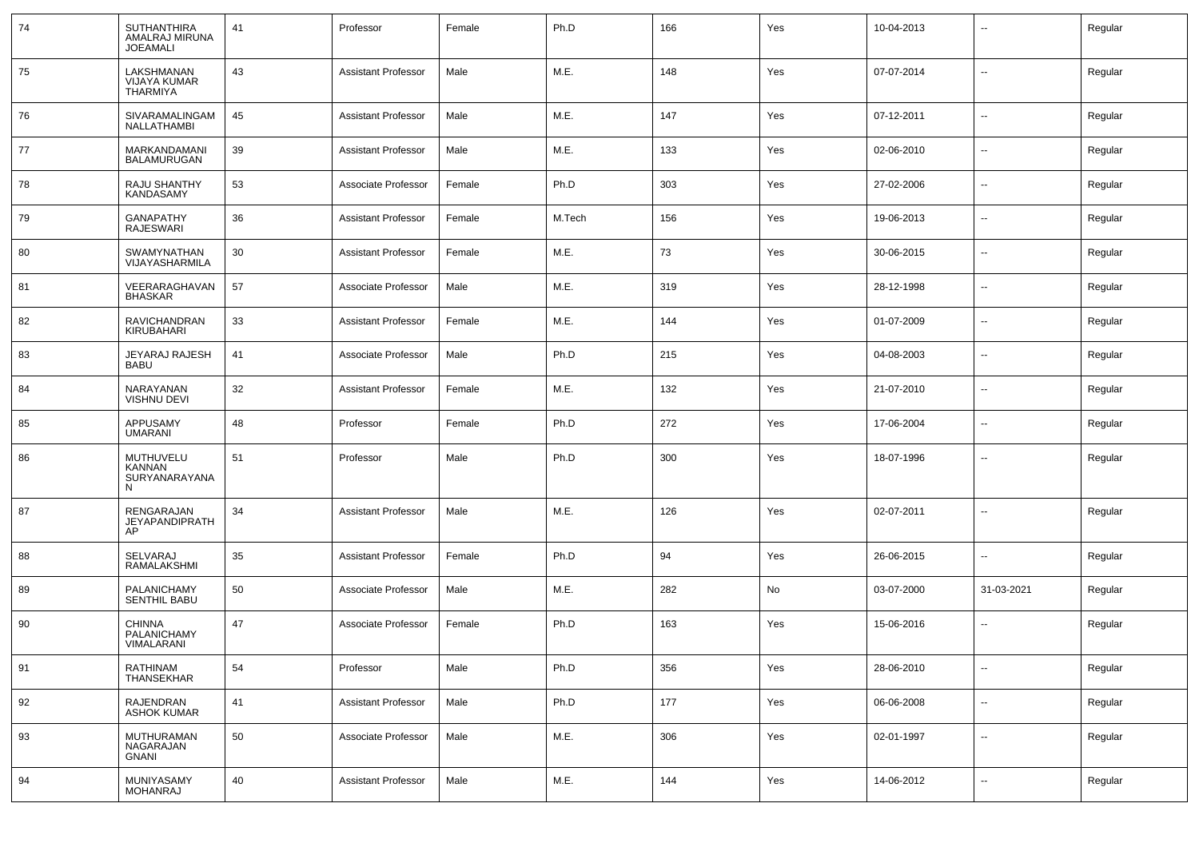| 74 | <b>SUTHANTHIRA</b><br>AMALRAJ MIRUNA<br><b>JOEAMALI</b> | 41 | Professor                  | Female | Ph.D   | 166 | Yes | 10-04-2013 | --                       | Regular |
|----|---------------------------------------------------------|----|----------------------------|--------|--------|-----|-----|------------|--------------------------|---------|
| 75 | LAKSHMANAN<br>VIJAYA KUMAR<br><b>THARMIYA</b>           | 43 | <b>Assistant Professor</b> | Male   | M.E.   | 148 | Yes | 07-07-2014 | $\sim$                   | Regular |
| 76 | SIVARAMALINGAM<br>NALLATHAMBI                           | 45 | <b>Assistant Professor</b> | Male   | M.E.   | 147 | Yes | 07-12-2011 | $\sim$                   | Regular |
| 77 | MARKANDAMANI<br>BALAMURUGAN                             | 39 | <b>Assistant Professor</b> | Male   | M.E.   | 133 | Yes | 02-06-2010 | $\sim$                   | Regular |
| 78 | RAJU SHANTHY<br>KANDASAMY                               | 53 | Associate Professor        | Female | Ph.D   | 303 | Yes | 27-02-2006 | $\sim$                   | Regular |
| 79 | <b>GANAPATHY</b><br><b>RAJESWARI</b>                    | 36 | <b>Assistant Professor</b> | Female | M.Tech | 156 | Yes | 19-06-2013 | $\sim$                   | Regular |
| 80 | <b>SWAMYNATHAN</b><br>VIJAYASHARMILA                    | 30 | <b>Assistant Professor</b> | Female | M.E.   | 73  | Yes | 30-06-2015 | $\sim$                   | Regular |
| 81 | VEERARAGHAVAN<br><b>BHASKAR</b>                         | 57 | Associate Professor        | Male   | M.E.   | 319 | Yes | 28-12-1998 | $\overline{\phantom{a}}$ | Regular |
| 82 | RAVICHANDRAN<br>KIRUBAHARI                              | 33 | <b>Assistant Professor</b> | Female | M.E.   | 144 | Yes | 01-07-2009 | $\sim$                   | Regular |
| 83 | JEYARAJ RAJESH<br><b>BABU</b>                           | 41 | Associate Professor        | Male   | Ph.D   | 215 | Yes | 04-08-2003 | $\overline{\phantom{a}}$ | Regular |
| 84 | NARAYANAN<br>VISHNU DEVI                                | 32 | <b>Assistant Professor</b> | Female | M.E.   | 132 | Yes | 21-07-2010 | $\sim$                   | Regular |
| 85 | APPUSAMY<br><b>UMARANI</b>                              | 48 | Professor                  | Female | Ph.D   | 272 | Yes | 17-06-2004 | $\overline{\phantom{a}}$ | Regular |
| 86 | MUTHUVELU<br>KANNAN<br>SURYANARAYANA<br>N               | 51 | Professor                  | Male   | Ph.D   | 300 | Yes | 18-07-1996 | --                       | Regular |
| 87 | RENGARAJAN<br><b>JEYAPANDIPRATH</b><br>AP               | 34 | <b>Assistant Professor</b> | Male   | M.E.   | 126 | Yes | 02-07-2011 | --                       | Regular |
| 88 | SELVARAJ<br>RAMALAKSHMI                                 | 35 | <b>Assistant Professor</b> | Female | Ph.D   | 94  | Yes | 26-06-2015 | $\sim$                   | Regular |
| 89 | PALANICHAMY<br><b>SENTHIL BABU</b>                      | 50 | Associate Professor        | Male   | M.E.   | 282 | No  | 03-07-2000 | 31-03-2021               | Regular |
| 90 | <b>CHINNA</b><br>PALANICHAMY<br>VIMALARANI              | 47 | Associate Professor        | Female | Ph.D   | 163 | Yes | 15-06-2016 | $\sim$                   | Regular |
| 91 | RATHINAM<br>THANSEKHAR                                  | 54 | Professor                  | Male   | Ph.D   | 356 | Yes | 28-06-2010 | $\sim$                   | Regular |
| 92 | RAJENDRAN<br><b>ASHOK KUMAR</b>                         | 41 | <b>Assistant Professor</b> | Male   | Ph.D   | 177 | Yes | 06-06-2008 | $\overline{\phantom{a}}$ | Regular |
| 93 | MUTHURAMAN<br>NAGARAJAN<br><b>GNANI</b>                 | 50 | Associate Professor        | Male   | M.E.   | 306 | Yes | 02-01-1997 | $\sim$                   | Regular |
| 94 | MUNIYASAMY<br>MOHANRAJ                                  | 40 | <b>Assistant Professor</b> | Male   | M.E.   | 144 | Yes | 14-06-2012 | Ξ.                       | Regular |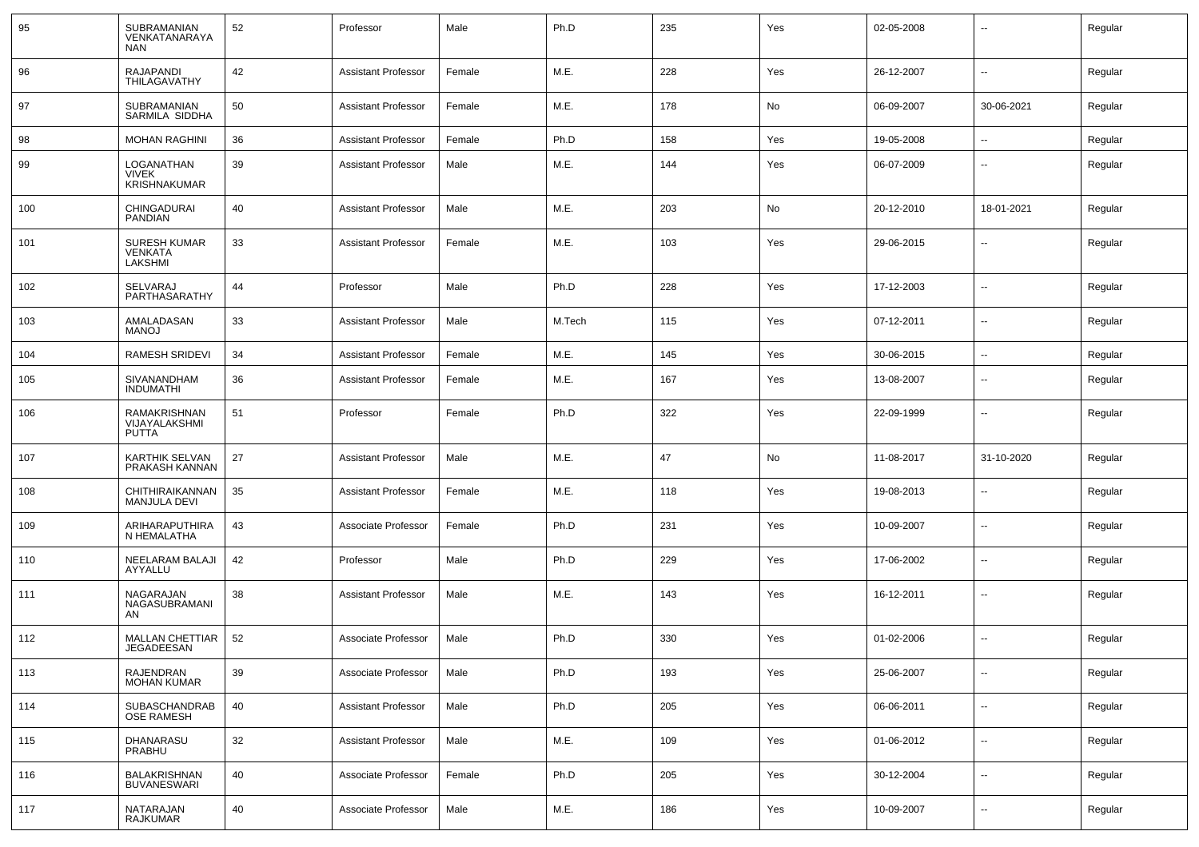| 95  | SUBRAMANIAN<br>VENKATANARAYA<br><b>NAN</b>       | 52 | Professor                  | Male   | Ph.D   | 235 | Yes | 02-05-2008 | $\sim$                   | Regular |
|-----|--------------------------------------------------|----|----------------------------|--------|--------|-----|-----|------------|--------------------------|---------|
| 96  | <b>RAJAPANDI</b><br>THILAGAVATHY                 | 42 | <b>Assistant Professor</b> | Female | M.E.   | 228 | Yes | 26-12-2007 | $\sim$                   | Regular |
| 97  | SUBRAMANIAN<br>SARMILA SIDDHA                    | 50 | <b>Assistant Professor</b> | Female | M.E.   | 178 | No  | 06-09-2007 | 30-06-2021               | Regular |
| 98  | <b>MOHAN RAGHINI</b>                             | 36 | <b>Assistant Professor</b> | Female | Ph.D   | 158 | Yes | 19-05-2008 | $\sim$                   | Regular |
| 99  | LOGANATHAN<br><b>VIVEK</b><br>KRISHNAKUMAR       | 39 | <b>Assistant Professor</b> | Male   | M.E.   | 144 | Yes | 06-07-2009 | $\sim$                   | Regular |
| 100 | CHINGADURAI<br>PANDIAN                           | 40 | <b>Assistant Professor</b> | Male   | M.E.   | 203 | No  | 20-12-2010 | 18-01-2021               | Regular |
| 101 | <b>SURESH KUMAR</b><br><b>VENKATA</b><br>LAKSHMI | 33 | <b>Assistant Professor</b> | Female | M.E.   | 103 | Yes | 29-06-2015 | $\sim$                   | Regular |
| 102 | SELVARAJ<br>PARTHASARATHY                        | 44 | Professor                  | Male   | Ph.D   | 228 | Yes | 17-12-2003 | $\sim$                   | Regular |
| 103 | AMALADASAN<br><b>MANOJ</b>                       | 33 | <b>Assistant Professor</b> | Male   | M.Tech | 115 | Yes | 07-12-2011 | $\overline{\phantom{a}}$ | Regular |
| 104 | <b>RAMESH SRIDEVI</b>                            | 34 | <b>Assistant Professor</b> | Female | M.E.   | 145 | Yes | 30-06-2015 | $\sim$                   | Regular |
| 105 | SIVANANDHAM<br><b>INDUMATHI</b>                  | 36 | <b>Assistant Professor</b> | Female | M.E.   | 167 | Yes | 13-08-2007 | $\sim$                   | Regular |
| 106 | RAMAKRISHNAN<br>VIJAYALAKSHMI<br><b>PUTTA</b>    | 51 | Professor                  | Female | Ph.D   | 322 | Yes | 22-09-1999 | $\sim$                   | Regular |
| 107 | KARTHIK SELVAN<br>PRAKASH KANNAN                 | 27 | <b>Assistant Professor</b> | Male   | M.E.   | 47  | No  | 11-08-2017 | 31-10-2020               | Regular |
| 108 | CHITHIRAIKANNAN<br><b>MANJULA DEVI</b>           | 35 | <b>Assistant Professor</b> | Female | M.E.   | 118 | Yes | 19-08-2013 | $\sim$                   | Regular |
| 109 | ARIHARAPUTHIRA<br>N HEMALATHA                    | 43 | Associate Professor        | Female | Ph.D   | 231 | Yes | 10-09-2007 | $\overline{\phantom{a}}$ | Regular |
| 110 | <b>NEELARAM BALAJI</b><br>AYYALLU                | 42 | Professor                  | Male   | Ph.D   | 229 | Yes | 17-06-2002 | $\sim$                   | Regular |
| 111 | NAGARAJAN<br>NAGASUBRAMANI<br>AN                 | 38 | <b>Assistant Professor</b> | Male   | M.E.   | 143 | Yes | 16-12-2011 | $\overline{\phantom{a}}$ | Regular |
| 112 | <b>MALLAN CHETTIAR</b><br>JEGADEESAN             | 52 | Associate Professor        | Male   | Ph.D   | 330 | Yes | 01-02-2006 |                          | Regular |
| 113 | <b>RAJENDRAN</b><br><b>MOHAN KUMAR</b>           | 39 | Associate Professor        | Male   | Ph.D   | 193 | Yes | 25-06-2007 | $\overline{\phantom{a}}$ | Regular |
| 114 | SUBASCHANDRAB<br><b>OSE RAMESH</b>               | 40 | <b>Assistant Professor</b> | Male   | Ph.D   | 205 | Yes | 06-06-2011 | $\overline{\phantom{a}}$ | Regular |
| 115 | <b>DHANARASU</b><br>PRABHU                       | 32 | <b>Assistant Professor</b> | Male   | M.E.   | 109 | Yes | 01-06-2012 | $\overline{\phantom{a}}$ | Regular |
| 116 | BALAKRISHNAN<br><b>BUVANESWARI</b>               | 40 | Associate Professor        | Female | Ph.D   | 205 | Yes | 30-12-2004 | $\sim$                   | Regular |
| 117 | NATARAJAN<br>RAJKUMAR                            | 40 | Associate Professor        | Male   | M.E.   | 186 | Yes | 10-09-2007 | $\overline{\phantom{a}}$ | Regular |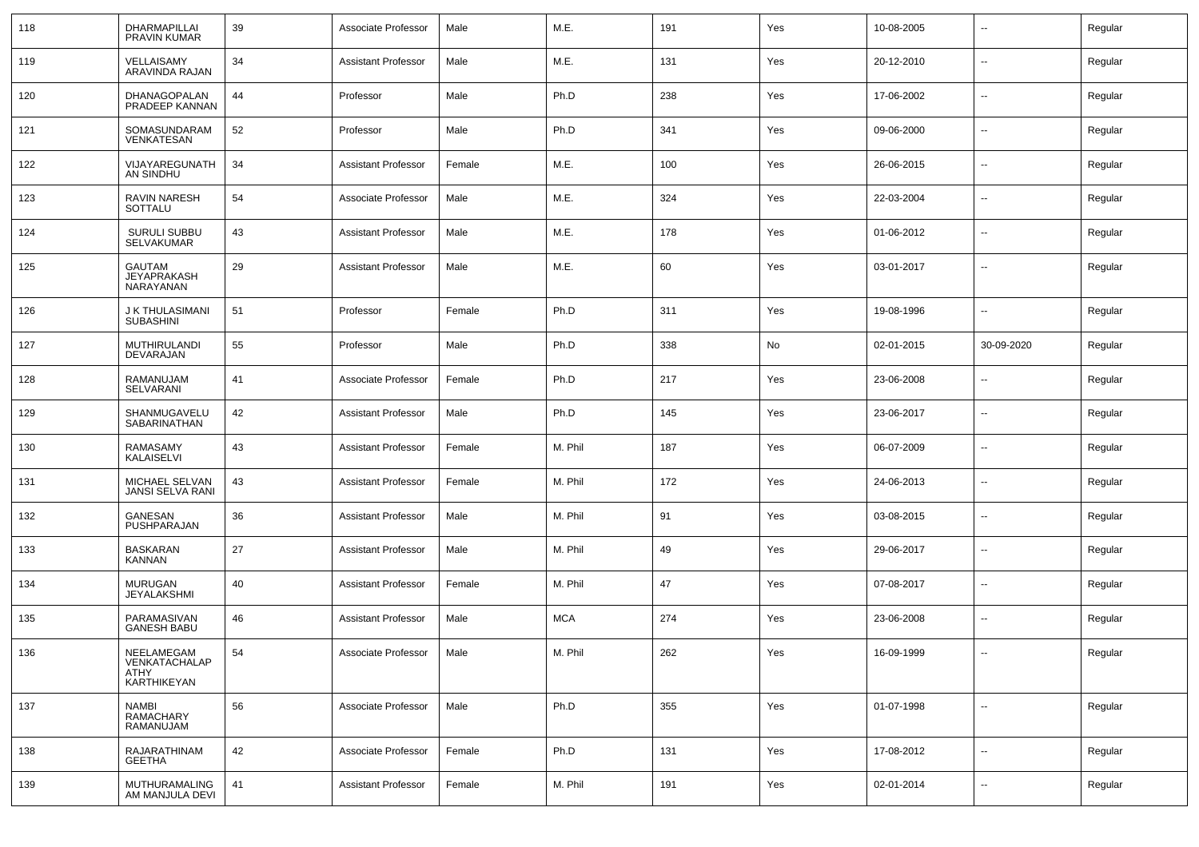| 118 | DHARMAPILLAI<br><b>PRAVIN KUMAR</b>                        | 39 | Associate Professor        | Male   | M.E.       | 191 | Yes | 10-08-2005 | $\overline{\phantom{a}}$ | Regular |
|-----|------------------------------------------------------------|----|----------------------------|--------|------------|-----|-----|------------|--------------------------|---------|
| 119 | VELLAISAMY<br>ARAVINDA RAJAN                               | 34 | <b>Assistant Professor</b> | Male   | M.E.       | 131 | Yes | 20-12-2010 | ⊷.                       | Regular |
| 120 | DHANAGOPALAN<br>PRADEEP KANNAN                             | 44 | Professor                  | Male   | Ph.D       | 238 | Yes | 17-06-2002 | ⊷.                       | Regular |
| 121 | SOMASUNDARAM<br>VENKATESAN                                 | 52 | Professor                  | Male   | Ph.D       | 341 | Yes | 09-06-2000 | $\overline{\phantom{a}}$ | Regular |
| 122 | VIJAYAREGUNATH<br>AN SINDHU                                | 34 | <b>Assistant Professor</b> | Female | M.E.       | 100 | Yes | 26-06-2015 | ⊷.                       | Regular |
| 123 | RAVIN NARESH<br>SOTTALU                                    | 54 | Associate Professor        | Male   | M.E.       | 324 | Yes | 22-03-2004 | ⊷.                       | Regular |
| 124 | SURULI SUBBU<br>SELVAKUMAR                                 | 43 | <b>Assistant Professor</b> | Male   | M.E.       | 178 | Yes | 01-06-2012 | ⊷.                       | Regular |
| 125 | GAUTAM<br><b>JEYAPRAKASH</b><br>NARAYANAN                  | 29 | <b>Assistant Professor</b> | Male   | M.E.       | 60  | Yes | 03-01-2017 | ⊷.                       | Regular |
| 126 | J K THULASIMANI<br><b>SUBASHINI</b>                        | 51 | Professor                  | Female | Ph.D       | 311 | Yes | 19-08-1996 | --                       | Regular |
| 127 | MUTHIRULANDI<br>DEVARAJAN                                  | 55 | Professor                  | Male   | Ph.D       | 338 | No  | 02-01-2015 | 30-09-2020               | Regular |
| 128 | RAMANUJAM<br>SELVARANI                                     | 41 | Associate Professor        | Female | Ph.D       | 217 | Yes | 23-06-2008 | --                       | Regular |
| 129 | SHANMUGAVELU<br>SABARINATHAN                               | 42 | <b>Assistant Professor</b> | Male   | Ph.D       | 145 | Yes | 23-06-2017 | $\overline{\phantom{a}}$ | Regular |
| 130 | RAMASAMY<br>KALAISELVI                                     | 43 | <b>Assistant Professor</b> | Female | M. Phil    | 187 | Yes | 06-07-2009 | $\overline{\phantom{a}}$ | Regular |
| 131 | MICHAEL SELVAN<br>JANSI SELVA RANI                         | 43 | <b>Assistant Professor</b> | Female | M. Phil    | 172 | Yes | 24-06-2013 | $\overline{\phantom{a}}$ | Regular |
| 132 | GANESAN<br>PUSHPARAJAN                                     | 36 | <b>Assistant Professor</b> | Male   | M. Phil    | 91  | Yes | 03-08-2015 | $\overline{\phantom{a}}$ | Regular |
| 133 | <b>BASKARAN</b><br>KANNAN                                  | 27 | <b>Assistant Professor</b> | Male   | M. Phil    | 49  | Yes | 29-06-2017 | $\overline{\phantom{a}}$ | Regular |
| 134 | <b>MURUGAN</b><br><b>JEYALAKSHMI</b>                       | 40 | <b>Assistant Professor</b> | Female | M. Phil    | 47  | Yes | 07-08-2017 | $\overline{\phantom{a}}$ | Regular |
| 135 | PARAMASIVAN<br>GANESH BABU                                 | 46 | <b>Assistant Professor</b> | Male   | <b>MCA</b> | 274 | Yes | 23-06-2008 | $\overline{\phantom{a}}$ | Regular |
| 136 | NFFI AMFGAM<br>VENKATACHALAP<br>ATHY<br><b>KARTHIKEYAN</b> | 54 | Associate Professor        | Male   | M. Phil    | 262 | Yes | 16-09-1999 |                          | Regular |
| 137 | <b>NAMBI</b><br>RAMACHARY<br>RAMANUJAM                     | 56 | Associate Professor        | Male   | Ph.D       | 355 | Yes | 01-07-1998 | $\sim$                   | Regular |
| 138 | RAJARATHINAM<br>GEETHA                                     | 42 | Associate Professor        | Female | Ph.D       | 131 | Yes | 17-08-2012 | $\sim$                   | Regular |
| 139 | MUTHURAMALING<br>AM MANJULA DEVI                           | 41 | <b>Assistant Professor</b> | Female | M. Phil    | 191 | Yes | 02-01-2014 | н.                       | Regular |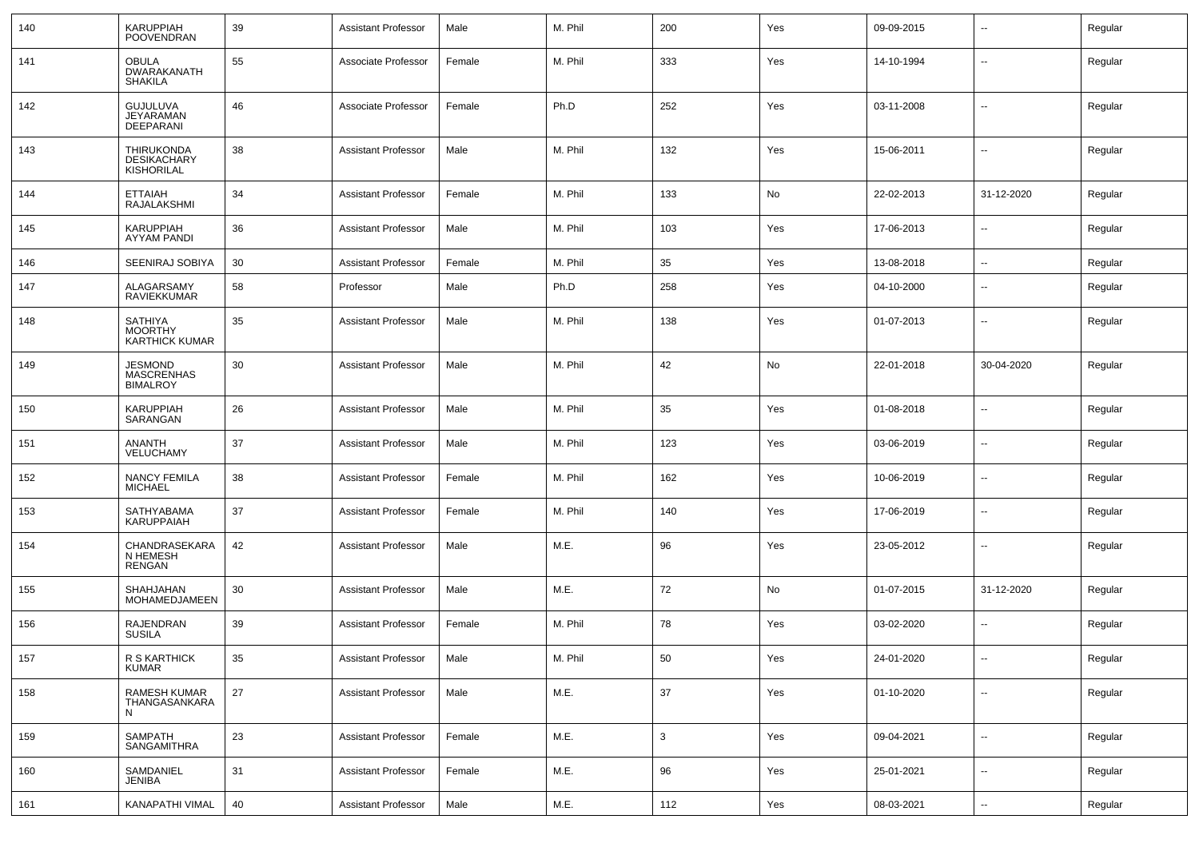| 140 | KARUPPIAH<br><b>POOVENDRAN</b>                               | 39 | <b>Assistant Professor</b> | Male   | M. Phil | 200          | Yes | 09-09-2015 | $\overline{\phantom{a}}$ | Regular |
|-----|--------------------------------------------------------------|----|----------------------------|--------|---------|--------------|-----|------------|--------------------------|---------|
| 141 | <b>OBULA</b><br>DWARAKANATH<br><b>SHAKILA</b>                | 55 | Associate Professor        | Female | M. Phil | 333          | Yes | 14-10-1994 | $\overline{\phantom{a}}$ | Regular |
| 142 | <b>GUJULUVA</b><br>JEYARAMAN<br>DEEPARANI                    | 46 | Associate Professor        | Female | Ph.D    | 252          | Yes | 03-11-2008 | --                       | Regular |
| 143 | <b>THIRUKONDA</b><br><b>DESIKACHARY</b><br><b>KISHORILAL</b> | 38 | <b>Assistant Professor</b> | Male   | M. Phil | 132          | Yes | 15-06-2011 | $\overline{\phantom{a}}$ | Regular |
| 144 | <b>ETTAIAH</b><br>RAJALAKSHMI                                | 34 | <b>Assistant Professor</b> | Female | M. Phil | 133          | No  | 22-02-2013 | 31-12-2020               | Regular |
| 145 | <b>KARUPPIAH</b><br>AYYAM PANDI                              | 36 | <b>Assistant Professor</b> | Male   | M. Phil | 103          | Yes | 17-06-2013 | -−                       | Regular |
| 146 | SEENIRAJ SOBIYA                                              | 30 | <b>Assistant Professor</b> | Female | M. Phil | 35           | Yes | 13-08-2018 | $\overline{\phantom{a}}$ | Regular |
| 147 | ALAGARSAMY<br>RAVIEKKUMAR                                    | 58 | Professor                  | Male   | Ph.D    | 258          | Yes | 04-10-2000 | $\overline{\phantom{a}}$ | Regular |
| 148 | <b>SATHIYA</b><br><b>MOORTHY</b><br><b>KARTHICK KUMAR</b>    | 35 | <b>Assistant Professor</b> | Male   | M. Phil | 138          | Yes | 01-07-2013 | $\overline{\phantom{a}}$ | Regular |
| 149 | <b>JESMOND</b><br><b>MASCRENHAS</b><br><b>BIMALROY</b>       | 30 | <b>Assistant Professor</b> | Male   | M. Phil | 42           | No  | 22-01-2018 | 30-04-2020               | Regular |
| 150 | <b>KARUPPIAH</b><br>SARANGAN                                 | 26 | <b>Assistant Professor</b> | Male   | M. Phil | 35           | Yes | 01-08-2018 | $\overline{\phantom{a}}$ | Regular |
| 151 | ANANTH<br>VELUCHAMY                                          | 37 | <b>Assistant Professor</b> | Male   | M. Phil | 123          | Yes | 03-06-2019 | --                       | Regular |
| 152 | <b>NANCY FEMILA</b><br><b>MICHAEL</b>                        | 38 | <b>Assistant Professor</b> | Female | M. Phil | 162          | Yes | 10-06-2019 | --                       | Regular |
| 153 | SATHYABAMA<br>KARUPPAIAH                                     | 37 | <b>Assistant Professor</b> | Female | M. Phil | 140          | Yes | 17-06-2019 | --                       | Regular |
| 154 | CHANDRASEKARA<br>N HEMESH<br><b>RENGAN</b>                   | 42 | <b>Assistant Professor</b> | Male   | M.E.    | 96           | Yes | 23-05-2012 | --                       | Regular |
| 155 | SHAHJAHAN<br>MOHAMEDJAMEEN                                   | 30 | <b>Assistant Professor</b> | Male   | M.E.    | 72           | No  | 01-07-2015 | 31-12-2020               | Regular |
| 156 | RAJENDRAN<br><b>SUSILA</b>                                   | 39 | <b>Assistant Professor</b> | Female | M. Phil | 78           | Yes | 03-02-2020 | ⊷.                       | Regular |
| 157 | R S KARTHICK<br><b>KUMAR</b>                                 | 35 | <b>Assistant Professor</b> | Male   | M. Phil | 50           | Yes | 24-01-2020 | $\overline{\phantom{a}}$ | Regular |
| 158 | RAMESH KUMAR<br>THANGASANKARA<br>N                           | 27 | <b>Assistant Professor</b> | Male   | M.E.    | 37           | Yes | 01-10-2020 | $\sim$                   | Regular |
| 159 | SAMPATH<br>SANGAMITHRA                                       | 23 | <b>Assistant Professor</b> | Female | M.E.    | $\mathbf{3}$ | Yes | 09-04-2021 | $\sim$                   | Regular |
| 160 | SAMDANIEL<br>JENIBA                                          | 31 | <b>Assistant Professor</b> | Female | M.E.    | 96           | Yes | 25-01-2021 | $\sim$                   | Regular |
| 161 | KANAPATHI VIMAL                                              | 40 | <b>Assistant Professor</b> | Male   | M.E.    | 112          | Yes | 08-03-2021 | $\sim$                   | Regular |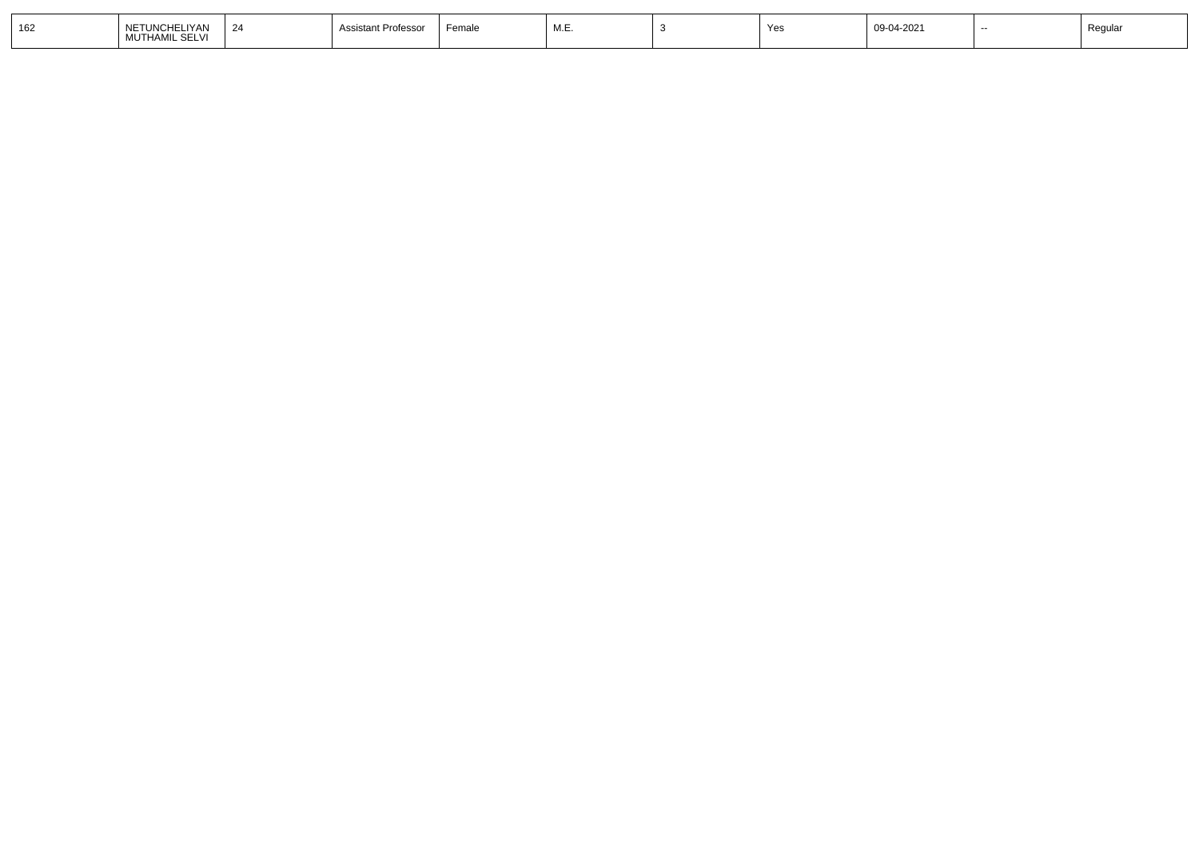| 162 | NETUNCHELIYAN<br>MUTHAMIL SELVI | int Professo | Female | <b>N</b><br>. ــا ۱۷۱۰ | $\lambda$ | 09-04-2021 | Regula. |
|-----|---------------------------------|--------------|--------|------------------------|-----------|------------|---------|
|     |                                 |              |        |                        |           |            |         |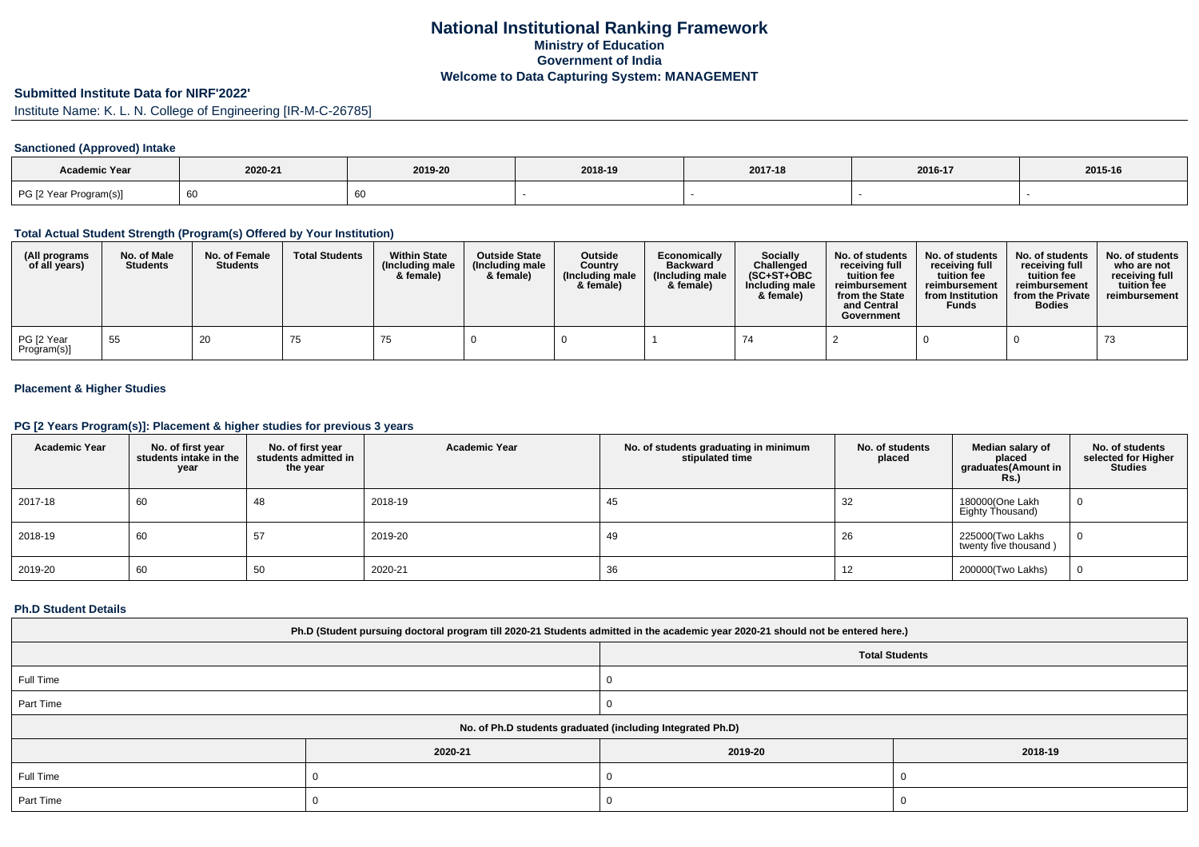# **National Institutional Ranking FrameworkMinistry of Education Government of IndiaWelcome to Data Capturing System: MANAGEMENT**

# **Submitted Institute Data for NIRF'2022'**

Institute Name: K. L. N. College of Engineering [IR-M-C-26785]

### **Sanctioned (Approved) Intake**

| <b>Academic Year</b>   |         |         |         |         |         |         |
|------------------------|---------|---------|---------|---------|---------|---------|
|                        | 2020-21 | 2019-20 | 2018-19 | 2017-18 | 2016-17 | 2015-16 |
| PG [2 Year Program(s)] | 60      |         |         |         |         |         |

#### **Total Actual Student Strength (Program(s) Offered by Your Institution)**

| (All programs<br>of all years) | No. of Male<br><b>Students</b> | No. of Female<br><b>Students</b> | <b>Total Students</b> | <b>Within State</b><br>(Including male<br>& female) | <b>Outside State</b><br>(Including male<br>& female) | <b>Outside</b><br>Country<br>(Including male<br>& female) | Economically<br><b>Backward</b><br>(Including male<br>& female) | Socially<br>Challenged<br>$(SC+ST+OBC)$<br>Including male<br>& female) | No. of students<br>receiving full<br>tuition fee<br>reimbursement<br>from the State<br>and Central<br>Government | No. of students<br>receiving full<br>tuition fee<br>reimbursement<br>from Institution<br><b>Funds</b> | No. of students<br>receiving full<br>tuition fee<br>reimbursement<br>from the Private<br><b>Bodies</b> | No. of students<br>who are not<br>receiving full<br>tuition fee<br>reimbursement |
|--------------------------------|--------------------------------|----------------------------------|-----------------------|-----------------------------------------------------|------------------------------------------------------|-----------------------------------------------------------|-----------------------------------------------------------------|------------------------------------------------------------------------|------------------------------------------------------------------------------------------------------------------|-------------------------------------------------------------------------------------------------------|--------------------------------------------------------------------------------------------------------|----------------------------------------------------------------------------------|
| PG [2 Year<br>Program(s)]      | 55                             | 20                               | 75                    |                                                     |                                                      |                                                           |                                                                 | 74                                                                     |                                                                                                                  |                                                                                                       |                                                                                                        | 73                                                                               |

### **Placement & Higher Studies**

### **PG [2 Years Program(s)]: Placement & higher studies for previous 3 years**

| <b>Academic Year</b> | No. of first year<br>students intake in the<br>year | No. of first vear<br>students admitted in<br>the year | <b>Academic Year</b> | No. of students graduating in minimum<br>stipulated time | No. of students<br>placed | Median salary of<br>placed<br>graduates(Amount in<br><b>Rs.)</b> | No. of students<br>selected for Higher<br><b>Studies</b> |
|----------------------|-----------------------------------------------------|-------------------------------------------------------|----------------------|----------------------------------------------------------|---------------------------|------------------------------------------------------------------|----------------------------------------------------------|
| 2017-18              | 60                                                  | -48                                                   | 2018-19              | 45                                                       | 32                        | 180000(One Lakh<br>Eighty Thousand)                              | 0                                                        |
| 2018-19              | 60                                                  | 57                                                    | 2019-20              | -49                                                      | 26                        | 225000 Two Lakhs<br>twenty five thousand)                        | 0                                                        |
| 2019-20              | 60                                                  | 50                                                    | 2020-21              | 36                                                       | 12                        | 200000(Two Lakhs)                                                | 0                                                        |

#### **Ph.D Student Details**

| Ph.D (Student pursuing doctoral program till 2020-21 Students admitted in the academic year 2020-21 should not be entered here.) |         |         |         |  |  |  |
|----------------------------------------------------------------------------------------------------------------------------------|---------|---------|---------|--|--|--|
| <b>Total Students</b>                                                                                                            |         |         |         |  |  |  |
| Full Time                                                                                                                        |         |         |         |  |  |  |
| Part Time                                                                                                                        |         |         |         |  |  |  |
| No. of Ph.D students graduated (including Integrated Ph.D)                                                                       |         |         |         |  |  |  |
|                                                                                                                                  | 2020-21 | 2019-20 | 2018-19 |  |  |  |
| Full Time                                                                                                                        |         |         |         |  |  |  |
| Part Time                                                                                                                        |         |         |         |  |  |  |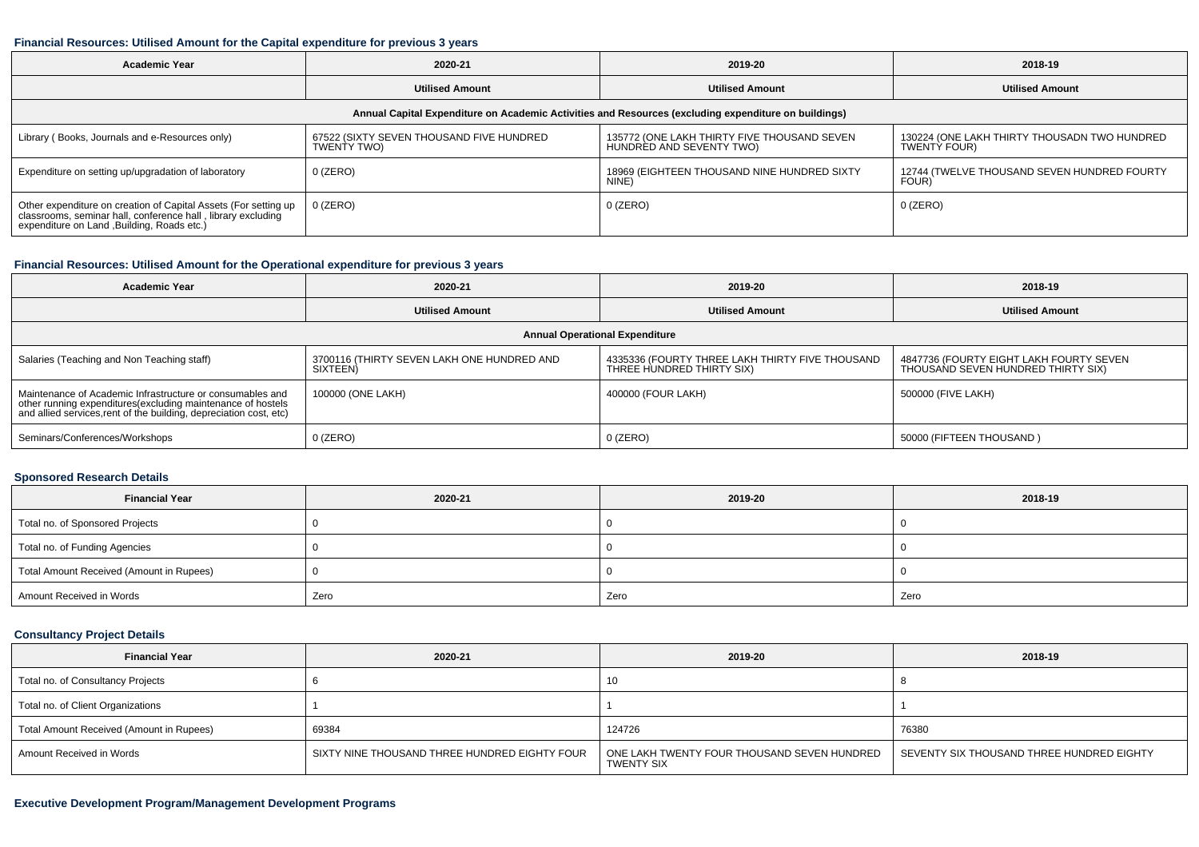#### **Financial Resources: Utilised Amount for the Capital expenditure for previous 3 years**

| 2020-21<br><b>Academic Year</b>                                                                                                                                                              |                                                                                                      | 2019-20                                                                 | 2018-19                                                             |  |  |  |  |  |
|----------------------------------------------------------------------------------------------------------------------------------------------------------------------------------------------|------------------------------------------------------------------------------------------------------|-------------------------------------------------------------------------|---------------------------------------------------------------------|--|--|--|--|--|
| <b>Utilised Amount</b>                                                                                                                                                                       |                                                                                                      | <b>Utilised Amount</b>                                                  | <b>Utilised Amount</b>                                              |  |  |  |  |  |
|                                                                                                                                                                                              | Annual Capital Expenditure on Academic Activities and Resources (excluding expenditure on buildings) |                                                                         |                                                                     |  |  |  |  |  |
| Library (Books, Journals and e-Resources only)                                                                                                                                               | 67522 (SIXTY SEVEN THOUSAND FIVE HUNDRED<br>TWENTY TWO)                                              | 135772 (ONE LAKH THIRTY FIVE THOUSAND SEVEN<br>HUNDRED AND SEVENTY TWO) | 130224 (ONE LAKH THIRTY THOUSADN TWO HUNDRED<br><b>TWENTY FOUR)</b> |  |  |  |  |  |
| Expenditure on setting up/upgradation of laboratory                                                                                                                                          | 0 (ZERO)                                                                                             | 18969 (EIGHTEEN THOUSAND NINE HUNDRED SIXTY<br>NINE)                    | 12744 (TWELVE THOUSAND SEVEN HUNDRED FOURTY<br>FOUR)                |  |  |  |  |  |
| $0$ (ZERO)<br>Other expenditure on creation of Capital Assets (For setting up<br>classrooms, seminar hall, conference hall, library excluding<br>expenditure on Land , Building, Roads etc.) |                                                                                                      | $0$ (ZERO)                                                              | 0 (ZERO)                                                            |  |  |  |  |  |

# **Financial Resources: Utilised Amount for the Operational expenditure for previous 3 years**

| 2020-21<br><b>Academic Year</b>                                                                                                                                                                |                                                                                                                                              | 2019-20                | 2018-19                                                                       |  |  |  |  |  |
|------------------------------------------------------------------------------------------------------------------------------------------------------------------------------------------------|----------------------------------------------------------------------------------------------------------------------------------------------|------------------------|-------------------------------------------------------------------------------|--|--|--|--|--|
|                                                                                                                                                                                                | <b>Utilised Amount</b>                                                                                                                       | <b>Utilised Amount</b> | <b>Utilised Amount</b>                                                        |  |  |  |  |  |
| <b>Annual Operational Expenditure</b>                                                                                                                                                          |                                                                                                                                              |                        |                                                                               |  |  |  |  |  |
| Salaries (Teaching and Non Teaching staff)                                                                                                                                                     | 4335336 (FOURTY THREE LAKH THIRTY FIVE THOUSAND<br>3700116 (THIRTY SEVEN LAKH ONE HUNDRED AND<br><b>SIXTEEN</b><br>THREE HUNDRED THIRTY SIX) |                        | 4847736 (FOURTY EIGHT LAKH FOURTY SEVEN<br>THOUSAND SEVEN HUNDRED THIRTY SIX) |  |  |  |  |  |
| Maintenance of Academic Infrastructure or consumables and<br>other running expenditures(excluding maintenance of hostels<br>and allied services, rent of the building, depreciation cost, etc) | 100000 (ONE LAKH)                                                                                                                            | 400000 (FOUR LAKH)     | 500000 (FIVE LAKH)                                                            |  |  |  |  |  |
| Seminars/Conferences/Workshops                                                                                                                                                                 | $0$ (ZERO)                                                                                                                                   | $0$ (ZERO)             | 50000 (FIFTEEN THOUSAND)                                                      |  |  |  |  |  |

#### **Sponsored Research Details**

| <b>Financial Year</b>                    | 2020-21 | 2019-20 | 2018-19 |  |
|------------------------------------------|---------|---------|---------|--|
| Total no. of Sponsored Projects          |         |         |         |  |
| Total no. of Funding Agencies            |         |         |         |  |
| Total Amount Received (Amount in Rupees) |         |         |         |  |
| Amount Received in Words                 | Zero    | Zero    | Zero    |  |

### **Consultancy Project Details**

| <b>Financial Year</b>                    | 2020-21                                       | 2019-20                                                   | 2018-19                                   |  |
|------------------------------------------|-----------------------------------------------|-----------------------------------------------------------|-------------------------------------------|--|
| Total no. of Consultancy Projects        |                                               | 10                                                        |                                           |  |
| Total no. of Client Organizations        |                                               |                                                           |                                           |  |
| Total Amount Received (Amount in Rupees) | 69384                                         | 124726                                                    | 76380                                     |  |
| Amount Received in Words                 | SIXTY NINE THOUSAND THREE HUNDRED EIGHTY FOUR | ONE LAKH TWENTY FOUR THOUSAND SEVEN HUNDRED<br>TWENTY SIX | SEVENTY SIX THOUSAND THREE HUNDRED EIGHTY |  |